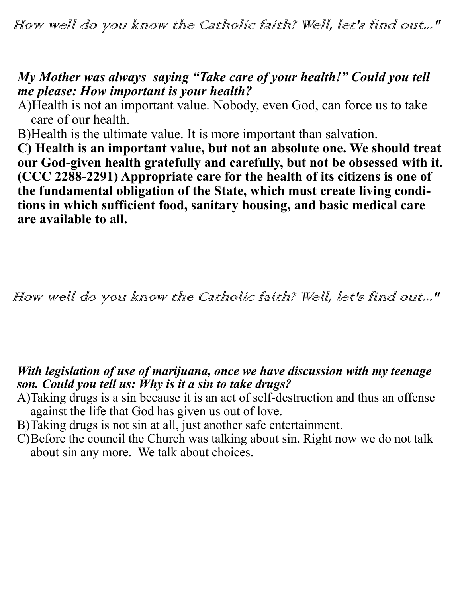How well do you know the Catholic faith? Well, let's find out..."

## *My Mother was always saying "Take care of your health!" Could you tell me please: How important is your health?*

A)Health is not an important value. Nobody, even God, can force us to take care of our health.

B)Health is the ultimate value. It is more important than salvation.

**C) Health is an important value, but not an absolute one. We should treat our God-given health gratefully and carefully, but not be obsessed with it. (CCC 2288-2291) Appropriate care for the health of its citizens is one of the fundamental obligation of the State, which must create living conditions in which sufficient food, sanitary housing, and basic medical care are available to all.** 

How well do you know the Catholic faith? Well, let's find out..."

## *With legislation of use of marijuana, once we have discussion with my teenage son. Could you tell us: Why is it a sin to take drugs?*

- A)Taking drugs is a sin because it is an act of self-destruction and thus an offense against the life that God has given us out of love.
- B)Taking drugs is not sin at all, just another safe entertainment.
- C)Before the council the Church was talking about sin. Right now we do not talk about sin any more. We talk about choices.